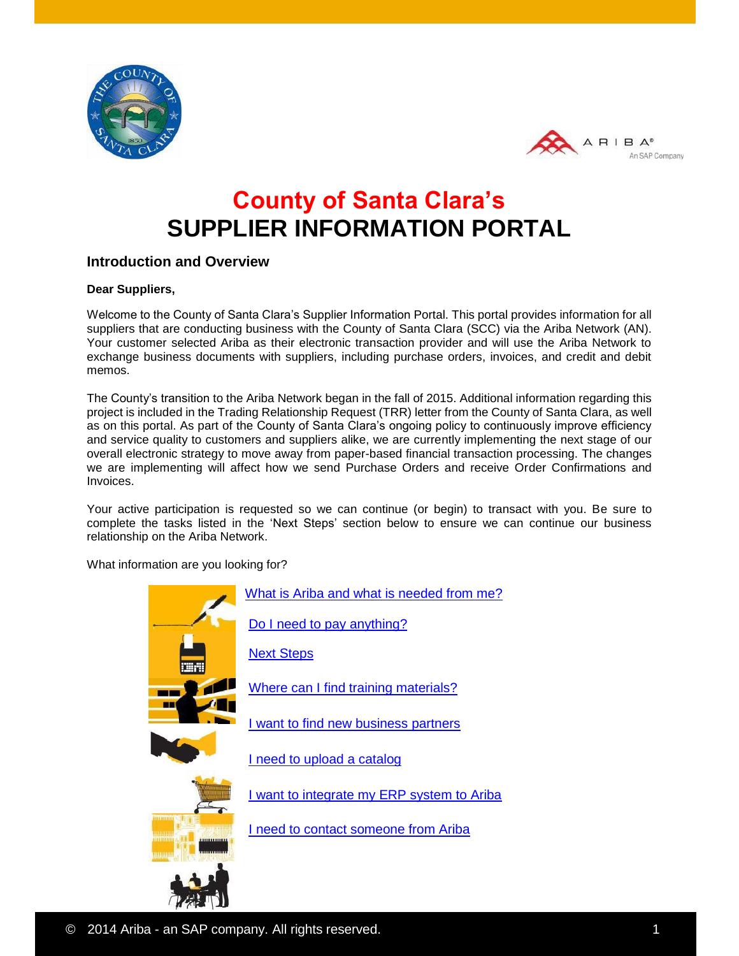



# **County of Santa Clara's SUPPLIER INFORMATION PORTAL**

# **Introduction and Overview**

# **Dear Suppliers,**

Welcome to the County of Santa Clara's Supplier Information Portal. This portal provides information for all suppliers that are conducting business with the County of Santa Clara (SCC) via the Ariba Network (AN). Your customer selected Ariba as their electronic transaction provider and will use the Ariba Network to exchange business documents with suppliers, including purchase orders, invoices, and credit and debit memos.

The County's transition to the Ariba Network began in the fall of 2015. Additional information regarding this project is included in the Trading Relationship Request (TRR) letter from the County of Santa Clara, as well as on this portal. As part of the County of Santa Clara's ongoing policy to continuously improve efficiency and service quality to customers and suppliers alike, we are currently implementing the next stage of our overall electronic strategy to move away from paper-based financial transaction processing. The changes we are implementing will affect how we send Purchase Orders and receive Order Confirmations and Invoices.

Your active participation is requested so we can continue (or begin) to transact with you. Be sure to complete the tasks listed in the 'Next Steps' section below to ensure we can continue our business relationship on the Ariba Network.

<span id="page-0-0"></span>What information are you looking for?

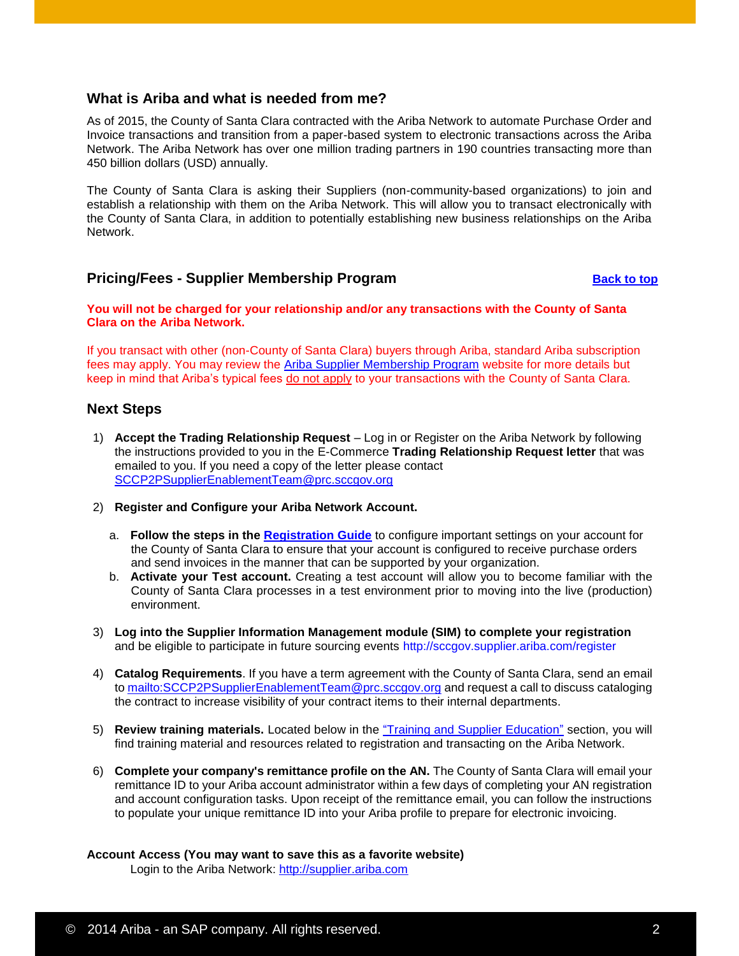# <span id="page-1-0"></span>**What is Ariba and what is needed from me?**

As of 2015, the County of Santa Clara contracted with the Ariba Network to automate Purchase Order and Invoice transactions and transition from a paper-based system to electronic transactions across the Ariba Network. The Ariba Network has over one million trading partners in 190 countries transacting more than 450 billion dollars (USD) annually.

The County of Santa Clara is asking their Suppliers (non-community-based organizations) to join and establish a relationship with them on the Ariba Network. This will allow you to transact electronically with the County of Santa Clara, in addition to potentially establishing new business relationships on the Ariba Network.

# <span id="page-1-1"></span>**Pricing/Fees - Supplier Membership Program [Back to top](#page-0-0)**

## **You will not be charged for your relationship and/or any transactions with the County of Santa Clara on the Ariba Network.**

If you transact with other (non-County of Santa Clara) buyers through Ariba, standard Ariba subscription fees may apply. You may review the [Ariba Supplier Membership Program](http://www.ariba.com/suppliers/subscriptions-and-pricing/supplier-membership-program) website for more details but keep in mind that Ariba's typical fees do not apply to your transactions with the County of Santa Clara.

# <span id="page-1-2"></span>**Next Steps**

- 1) **Accept the Trading Relationship Request** Log in or Register on the Ariba Network by following the instructions provided to you in the E-Commerce **Trading Relationship Request letter** that was emailed to you. If you need a copy of the letter please contact [SCCP2PSupplierEnablementTeam@prc.sccgov.org](mailto:SCCP2PSupplierEnablementTeam@prc.sccgov.org)
- 2) **Register and Configure your Ariba Network Account.**
	- a. **Follow the steps in the [Registration Guide](https://service.ariba.com/Supplier.aw/ad/eduPortalDoc?key=NzEwNDV8a1d4WXc1N2VhYTI2OXkyODQ5eHg0Mjk*)** to configure important settings on your account for the County of Santa Clara to ensure that your account is configured to receive purchase orders and send invoices in the manner that can be supported by your organization.
	- b. **Activate your Test account.** Creating a test account will allow you to become familiar with the County of Santa Clara processes in a test environment prior to moving into the live (production) environment.
- 3) **Log into the Supplier Information Management module (SIM) to complete your registration** and be eligible to participate in future sourcing events<http://sccgov.supplier.ariba.com/register>
- 4) **Catalog Requirements**. If you have a term agreement with the County of Santa Clara, send an email to <mailto:SCCP2PSupplierEnablementTeam@prc.sccgov.org> and request a call to discuss cataloging the contract to increase visibility of your contract items to their internal departments.
- 5) **Review training materials.** Located below in the ["Training and Supplier Education"](#page-2-0) section, you will find training material and resources related to registration and transacting on the Ariba Network.
- 6) **Complete your company's remittance profile on the AN.** The County of Santa Clara will email your remittance ID to your Ariba account administrator within a few days of completing your AN registration and account configuration tasks. Upon receipt of the remittance email, you can follow the instructions to populate your unique remittance ID into your Ariba profile to prepare for electronic invoicing.

#### **Account Access (You may want to save this as a favorite website)** Login to the Ariba Network: [http://supplier.ariba.com](http://supplier.ariba.com/)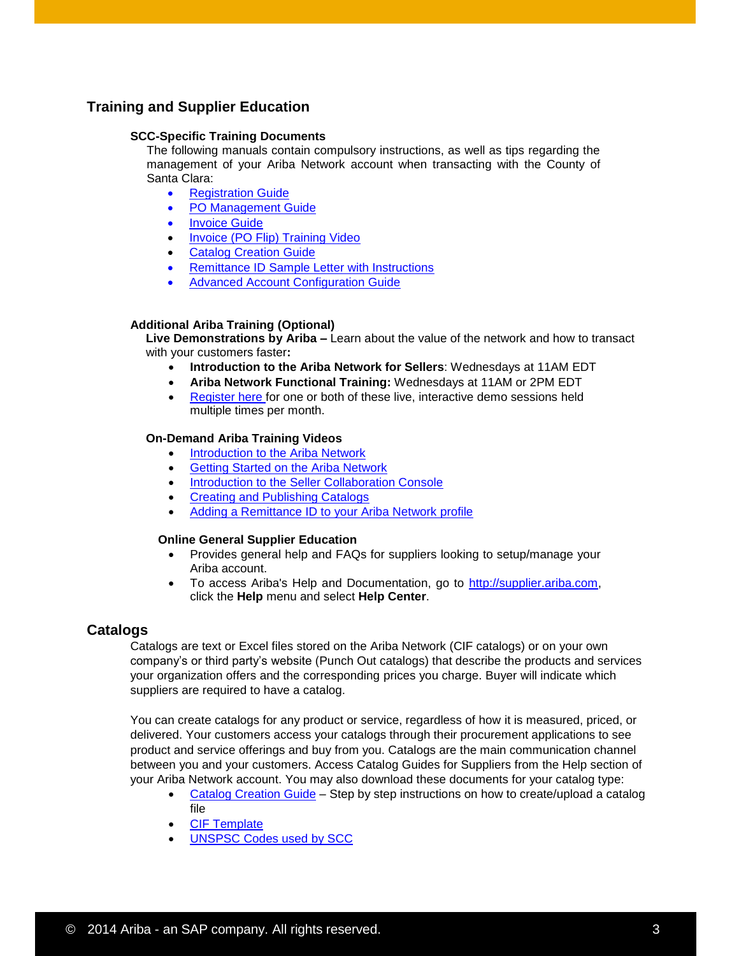# <span id="page-2-0"></span>**Training and Supplier Education**

## **SCC-Specific Training Documents**

The following manuals contain compulsory instructions, as well as tips regarding the management of your Ariba Network account when transacting with the County of Santa Clara:

- [Registration Guide](https://service.ariba.com/Supplier.aw/ad/eduPortalDoc?key=NzEwNDV8a1d4WXc1N2VhYTI2OXkyODQ5eHg0Mjk*)
- [PO Management Guide](https://service.ariba.com/Supplier.aw/ad/eduPortalDoc?key=NzEwNDN8R3NlMnc1N2VhYXlmOHkyODQ5eHg0MjU*)
- **•** [Invoice Guide](https://service.ariba.com/Supplier.aw/ad/eduPortalDoc?key=NzEwNDJ8aGs2SjI1N2VhYXk2N3kyODQ5eHg0MjM*)
- [Invoice \(PO Flip\) Training Video](https://www.sccgov.org/sites/proc/videos/SCC%20PO%20Flip%20to%20Invoice%20Training.mp4)
- **Catalog [Creation Guide](https://service.ariba.com/Supplier.aw/ad/eduPortalDoc?key=NTgwODJ8TUdMdEo1NnkyYmU5NHkyODQ3OXgzNTI*)**
- [Remittance ID Sample Letter with Instructions](https://service.ariba.com/Supplier.aw/ad/eduPortalDoc?key=NjYwNDN8M1pHTkM1NmU3M3hlYXkyODU2NngzNTc*)
- [Advanced Account Configuration Guide](https://service.ariba.com/Supplier.aw/ad/eduPortalDoc?key=NzEwNDB8akVYN201N2VhOWRmNnkyODQ5eHg0Mnk*)

# **Additional Ariba Training (Optional)**

**Live Demonstrations by Ariba –** Learn about the value of the network and how to transact with your customers faster**:**

- **Introduction to the Ariba Network for Sellers**: Wednesdays at 11AM EDT
- **Ariba Network Functional Training:** Wednesdays at 11AM or 2PM EDT
- [Register here f](http://www.ariba.com/resources/live-demo/ariba-network)or one or both of these live, interactive demo sessions held multiple times per month.

## **On-Demand Ariba Training Videos**

- [Introduction to the Ariba Network](http://onlinelearning.ariba.com/archive/campus/Supplier/Network/en/ariba_flash.htm)
- [Getting Started on the Ariba Network](http://onlinelearning.ariba.com/archive/campus/Supplier/Network/en/0117.htm)
- **[Introduction to the Seller Collaboration Console](https://connect.ariba.com/doc/SWF/EngDoc/Network/0402/0402.htm)**
- [Creating and Publishing Catalogs](http://onlinelearning.ariba.com/archive/campus/Supplier/Network/en/0143.htm)
- [Adding a Remittance ID to your Ariba Network profile](https://uex.ariba.com/node/2207)

## **Online General Supplier Education**

- Provides general help and FAQs for suppliers looking to setup/manage your Ariba account.
- To access Ariba's Help and Documentation, go to [http://supplier.ariba.com,](http://supplier.ariba.com/) click the **Help** menu and select **Help Center**.

# <span id="page-2-1"></span>**Catalogs**

Catalogs are text or Excel files stored on the Ariba Network (CIF catalogs) or on your own company's or third party's website (Punch Out catalogs) that describe the products and services your organization offers and the corresponding prices you charge. Buyer will indicate which suppliers are required to have a catalog.

You can create catalogs for any product or service, regardless of how it is measured, priced, or delivered. Your customers access your catalogs through their procurement applications to see product and service offerings and buy from you. Catalogs are the main communication channel between you and your customers. Access Catalog Guides for Suppliers from the Help section of your Ariba Network account. You may also download these documents for your catalog type:

- [Catalog Creation Guide](https://service.ariba.com/Supplier.aw/ad/eduPortalDoc?key=NTgwODJ8TUdMdEo1NnkyYmU5NHkyODQ3OXgzNTI*) Step by step instructions on how to create/upload a catalog file
- [CIF Template](https://service.ariba.com/Supplier.aw/ad/eduPortalDoc?key=NjU2NDB8ODZiUlg1NmRkYzU2MnkyODU2NngzNTc*)
- [UNSPSC Codes used by SCC](https://service.ariba.com/Supplier.aw/ad/eduPortalDoc?key=NjE5NDF8S0RuYzg1NjczM2RkNHkyODQzNXgzeDM*)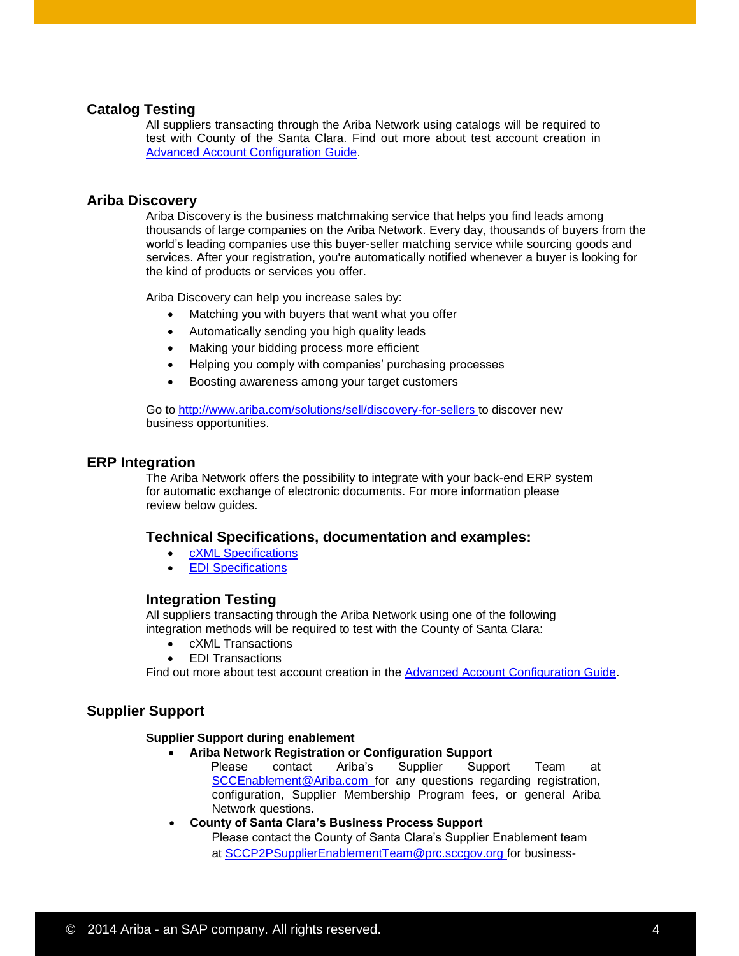# **Catalog Testing**

All suppliers transacting through the Ariba Network using catalogs will be required to test with County of the Santa Clara. Find out more about test account creation in [Advanced Account Configuration Guide.](https://service.ariba.com/Supplier.aw/ad/eduPortalDoc?key=NzEwNDB8akVYN201N2VhOWRmNnkyODQ5eHg0Mnk*)

# <span id="page-3-0"></span>**Ariba Discovery**

Ariba Discovery is the business matchmaking service that helps you find leads among thousands of large companies on the Ariba Network. Every day, thousands of buyers from the world's leading companies use this buyer-seller matching service while sourcing goods and services. After your registration, you're automatically notified whenever a buyer is looking for the kind of products or services you offer.

Ariba Discovery can help you increase sales by:

- Matching you with buyers that want what you offer
- Automatically sending you high quality leads
- Making your bidding process more efficient
- Helping you comply with companies' purchasing processes
- Boosting awareness among your target customers

Go to [http://www.ariba.com/solutions/sell/discovery-for-sellers t](http://www.ariba.com/solutions/sell/discovery-for-sellers)o discover new business opportunities.

# <span id="page-3-1"></span>**ERP Integration**

The Ariba Network offers the possibility to integrate with your back-end ERP system for automatic exchange of electronic documents. For more information please review below guides.

## **Technical Specifications, documentation and examples:**

- [cXML Specifications](https://service.ariba.com/Supplier.aw/ad/eduPortalDoc?key=NjE5NDV8UkNNUGg1NjczNDk1Y3kyODQzNXgzeDk*)
- [EDI Specifications](https://service.ariba.com/Supplier.aw/ad/eduPortalDoc?key=NTgwODR8YlhEQ0U1NnkyYmVkZnkyODQ3OXgzNTY*)

## **Integration Testing**

All suppliers transacting through the Ariba Network using one of the following integration methods will be required to test with the County of Santa Clara:

- cXML Transactions
- EDI Transactions

Find out more about test account creation in the [Advanced Account Configuration Guide.](#page-2-0)

# <span id="page-3-2"></span>**Supplier Support**

#### **Supplier Support during enablement**

- **Ariba Network Registration or Configuration Support**
	- Please contact Ariba's Supplier Support Team at [SCCEnablement@Ariba.com f](mailto:SCCEnablement@Ariba.com)or any questions regarding registration, configuration, Supplier Membership Program fees, or general Ariba Network questions.
- **County of Santa Clara's Business Process Support** Please contact the County of Santa Clara's Supplier Enablement team at [SCCP2PSupplierEnablementTeam@prc.sccgov.org f](mailto:SCCP2PSupplierEnablementTeam@prc.sccgov.org)or business-